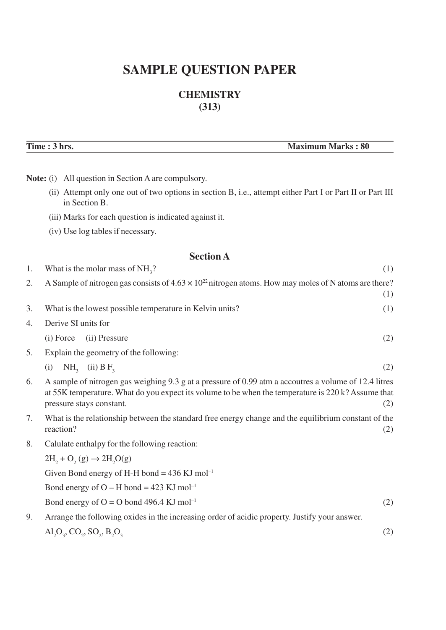# **SAMPLE QUESTION PAPER**

# **CHEMISTRY (313)**

**Time : 3 hrs.** Maximum Marks : 80

|    | <b>Note:</b> (i) All question in Section A are compulsory.                                                                                                                                                                                     |     |
|----|------------------------------------------------------------------------------------------------------------------------------------------------------------------------------------------------------------------------------------------------|-----|
|    | (ii) Attempt only one out of two options in section B, i.e., attempt either Part I or Part II or Part III<br>in Section B.                                                                                                                     |     |
|    | (iii) Marks for each question is indicated against it.                                                                                                                                                                                         |     |
|    | (iv) Use log tables if necessary.                                                                                                                                                                                                              |     |
|    | <b>Section A</b>                                                                                                                                                                                                                               |     |
| 1. | What is the molar mass of $NH3$ ?                                                                                                                                                                                                              | (1) |
| 2. | A Sample of nitrogen gas consists of $4.63 \times 10^{22}$ nitrogen atoms. How may moles of N atoms are there?                                                                                                                                 | (1) |
| 3. | What is the lowest possible temperature in Kelvin units?                                                                                                                                                                                       | (1) |
| 4. | Derive SI units for                                                                                                                                                                                                                            |     |
|    | (i) Force<br>(ii) Pressure                                                                                                                                                                                                                     | (2) |
| 5. | Explain the geometry of the following:                                                                                                                                                                                                         |     |
|    | $NH3$ (ii) B F <sub>3</sub><br>(i)                                                                                                                                                                                                             | (2) |
| 6. | A sample of nitrogen gas weighing 9.3 g at a pressure of 0.99 atm a accoutres a volume of 12.4 litres<br>at 55K temperature. What do you expect its volume to be when the temperature is 220 k? Assume that<br>pressure stays constant.<br>(2) |     |
| 7. | What is the relationship between the standard free energy change and the equilibrium constant of the<br>reaction?                                                                                                                              | (2) |
| 8. | Calulate enthalpy for the following reaction:                                                                                                                                                                                                  |     |
|    | $2H_2 + O_2(g) \rightarrow 2H_2O(g)$                                                                                                                                                                                                           |     |
|    | Given Bond energy of H-H bond = $436$ KJ mol <sup>-1</sup>                                                                                                                                                                                     |     |
|    | Bond energy of $O - H$ bond = 423 KJ mol <sup>-1</sup>                                                                                                                                                                                         |     |
|    | Bond energy of $O = O$ bond 496.4 KJ mol <sup>-1</sup>                                                                                                                                                                                         | (2) |
| 9. | Arrange the following oxides in the increasing order of acidic property. Justify your answer.                                                                                                                                                  |     |
|    | $\text{Al}_2\text{O}_3, \text{CO}_2, \text{SO}_2, \text{B}_2\text{O}_3$                                                                                                                                                                        | (2) |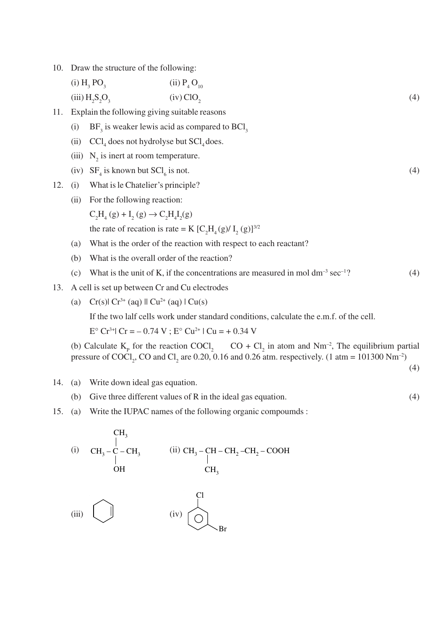- 10. Draw the structure of the following:
	- $(i)$  H<sub>3</sub> PO<sub>3</sub>  $PO_3$  (ii)  $P_4 O_{10}$  $(iii)$   $H_2S_2$  $O_3$  (iv) ClO<sub>2</sub> (4)
- 11. Explain the following giving suitable reasons
	- (i) BF<sub>3</sub> is weaker lewis acid as compared to BCl<sub>3</sub>
	- (ii)  $\text{CCl}_4$  does not hydrolyse but  $\text{SCl}_4$  does.
	- (iii)  $N_2$  is inert at room temperature.
	- (iv)  $SF_4$  is known but  $SCI_6$ is not.  $(4)$
- 12. (i) What is le Chatelier's principle?
	- (ii) For the following reaction:
		- $C_2H_4(g) + I_2(g) \rightarrow C_2H_4I_2(g)$

the rate of recation is rate = K  $[C_2H_4(g)/I_2(g)]^{3/2}$ 

- (a) What is the order of the reaction with respect to each reactant?
- (b) What is the overall order of the reaction?
- (c) What is the unit of K, if the concentrations are measured in mol  $dm^{-3}$  sec<sup>-1</sup>? (4)
- 13. A cell is set up between Cr and Cu electrodes
	- (a)  $Cr(s)$   $Cr^{3+}$  (aq)  $\parallel Cu^{2+}$  (aq)  $\parallel Cu(s)$

If the two lalf cells work under standard conditions, calculate the e.m.f. of the cell.

 $E^{\circ}$  Cr<sup>3+</sup>l Cr = -0.74 V ;  $E^{\circ}$  Cu<sup>2+</sup>l Cu = +0.34 V

(b) Calculate  $K_p$  for the reaction COCl<sub>2</sub> CO + Cl<sub>2</sub> in atom and Nm<sup>-2</sup>, The equilibrium partial pressure of COCl<sub>2</sub>, CO and Cl<sub>2</sub> are 0.20, 0.16 and 0.26 atm. respectively. (1 atm = 101300 Nm<sup>-2</sup>)

(4)

- 14. (a) Write down ideal gas equation.
	- (b) Give three different values of R in the ideal gas equation. (4)
- 15. (a) Write the IUPAC names of the following organic compoumds :

\n
$$
\text{CH}_3
$$
  
\n $\text{CH}_3 - \text{C} - \text{CH}_3$   
\n $\text{OH}$   
\n $\text{CH}_3$   
\n $\text{CH}_3$   
\n $\text{CH}_3 - \text{CH}_2 - \text{CH}_2 - \text{COOH}$   
\n $\text{CH}_3$ \n

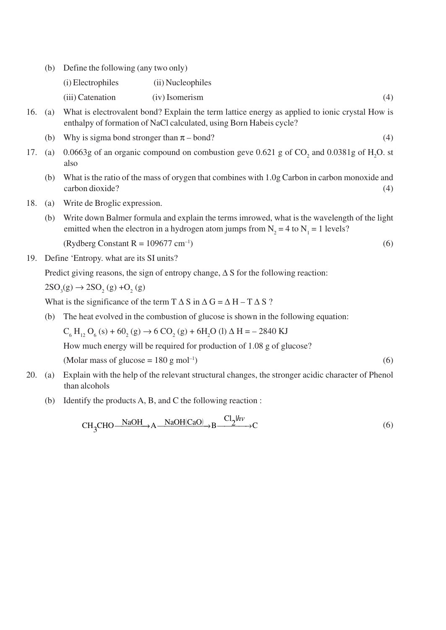(b) Define the following (any two only)

| (i) Electrophiles | (ii) Nucleophiles |  |
|-------------------|-------------------|--|
| (iii) Catenation  | (iv) Isomerism    |  |

- 16. (a) What is electrovalent bond? Explain the term lattice energy as applied to ionic crystal How is enthalpy of formation of NaCl calculated, using Born Habeis cycle?
	- (b) Why is sigma bond stronger than  $\pi$  bond? (4)
- 17. (a) 0.0663g of an organic compound on combustion geve 0.621 g of  $CO_2$  and 0.0381g of H<sub>2</sub>O. st also
	- (b) What is the ratio of the mass of orygen that combines with 1.0g Carbon in carbon monoxide and carbon dioxide? (4)
- 18. (a) Write de Broglic expression.
	- (b) Write down Balmer formula and explain the terms imrowed, what is the wavelength of the light emitted when the electron in a hydrogen atom jumps from  $N_2 = 4$  to  $N_1 = 1$  levels?

 $(Rydberg Constant R = 109677 cm^{-1})$  (6)

$$
(6)
$$

19. Define 'Entropy. what are its SI units?

Predict giving reasons, the sign of entropy change,  $\Delta S$  for the following reaction:

 $2SO_3(g) \to 2SO_2(g) + O_2(g)$ 

What is the significance of the term  $T \Delta S$  in  $\Delta G = \Delta H - T \Delta S$ ?

(b) The heat evolved in the combustion of glucose is shown in the following equation:

 $C_6$  H<sub>12</sub> O<sub>6</sub> (s) + 60<sub>2</sub> (g)  $\rightarrow$  6 CO<sub>2</sub> (g) + 6H<sub>2</sub>O (l)  $\Delta$  H = - 2840 KJ

How much energy will be required for production of 1.08 g of glucose?

(Molar mass of glucose =  $180 \text{ g mol}^{-1}$ ) (6)

- 20. (a) Explain with the help of the relevant structural changes, the stronger acidic character of Phenol than alcohols
	- (b) Identify the products A, B, and C the following reaction :

$$
CH_3CHO \xrightarrow{NaOH} A \xrightarrow{NaOH(CaO)} B \xrightarrow{Cl_2/h\nu} C
$$
 (6)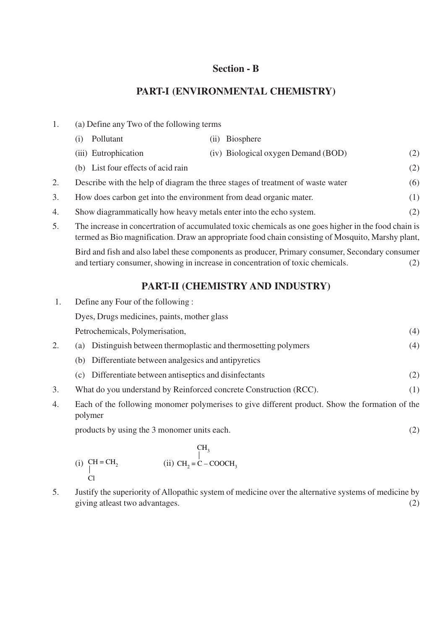### **Section - B**

### **PART-I (ENVIRONMENTAL CHEMISTRY)**

- 1. (a) Define any Two of the following terms
- (i) Pollutant (ii) Biosphere (iii) Eutrophication (iv) Biological oxygen Demand (BOD) (2) (b) List four effects of acid rain (2) 2. Describe with the help of diagram the three stages of treatment of waste water (6) 3. How does carbon get into the environment from dead organic mater. (1)
- 4. Show diagrammatically how heavy metals enter into the echo system. (2)
- 5. The increase in concertration of accumulated toxic chemicals as one goes higher in the food chain is termed as Bio magnification. Draw an appropriate food chain consisting of Mosquito, Marshy plant,

Bird and fish and also label these components as producer, Primary consumer, Secondary consumer and tertiary consumer, showing in increase in concentration of toxic chemicals. (2)

## **PART-II (CHEMISTRY AND INDUSTRY)**

1. Define any Four of the following :

Dyes, Drugs medicines, paints, mother glass

Petrochemicals, Polymerisation, (4)

- 2. (a) Distinguish between thermoplastic and thermosetting polymers (4)
	- (b) Differentiate between analgesics and antipyretics
	- (c) Differentiate between antiseptics and disinfectants (2)
- 3. What do you understand by Reinforced concrete Construction (RCC). (1)
- 4. Each of the following monomer polymerises to give different product. Show the formation of the polymer

products by using the 3 monomer units each. (2)

$$
\begin{array}{ccc}\n\text{CH}_3 & & \text{CH}_3 \\
\mid & \mid & \text{CH}_2 = \text{C} - \text{COOCH}_3 \\
\text{Cl} & & & \text{Cl}\n\end{array}
$$

5. Justify the superiority of Allopathic system of medicine over the alternative systems of medicine by giving atleast two advantages. (2)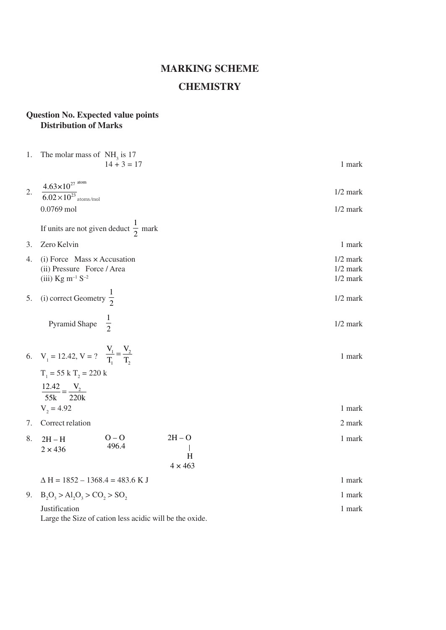# **MARKING SCHEME CHEMISTRY**

#### **Question No. Expected value points Distribution of Marks**

|                  | 1. The molar mass of $NH3$ is 17                                                                                      | $14 + 3 = 17$    |                                 | 1 mark                                 |
|------------------|-----------------------------------------------------------------------------------------------------------------------|------------------|---------------------------------|----------------------------------------|
| $\overline{2}$ . | $4.63 \times 10^{27}$ atom<br>$6.02\times10^{23}$ atoms/mol<br>0.0769 mol                                             |                  |                                 | $1/2$ mark<br>$1/2$ mark               |
|                  | If units are not given deduct $\frac{1}{2}$ mark                                                                      |                  |                                 |                                        |
| 3.               | Zero Kelvin                                                                                                           |                  |                                 | 1 mark                                 |
| 4.               | $(i)$ Force Mass $\times$ Accusation<br>(ii) Pressure Force / Area<br>(iii) $\text{Kg} \text{ m}^{-1} \text{ S}^{-2}$ |                  |                                 | $1/2$ mark<br>$1/2$ mark<br>$1/2$ mark |
| 5.               | (i) correct Geometry $\frac{1}{2}$                                                                                    |                  |                                 | $1/2$ mark                             |
|                  | Pyramid Shape $\frac{1}{2}$                                                                                           |                  |                                 | $1/2$ mark                             |
|                  | 6. $V_1 = 12.42, V = ?$ $\frac{V_1}{T_1} = \frac{V_2}{T_2}$<br>$T_1 = 55 \text{ k } T_2 = 220 \text{ k}$              |                  |                                 | 1 mark                                 |
|                  | $\frac{12.42}{55k} = \frac{V_2}{220k}$                                                                                |                  |                                 |                                        |
|                  | $V_2 = 4.92$                                                                                                          |                  |                                 | 1 mark                                 |
| 7.               | Correct relation                                                                                                      |                  |                                 | 2 mark                                 |
| 8.               | $2H - H$<br>$2 \times 436$                                                                                            | $O - O$<br>496.4 | $2H - O$<br>H<br>$4 \times 463$ | 1 mark                                 |
|                  | $\Delta H = 1852 - 1368.4 = 483.6$ K J                                                                                |                  |                                 | 1 mark                                 |
|                  | 9. $B_2O_3 > Al_2O_3 > CO_2 > SO_2$                                                                                   |                  |                                 | 1 mark                                 |
|                  | Justification<br>Large the Size of cation less acidic will be the oxide.                                              |                  |                                 | 1 mark                                 |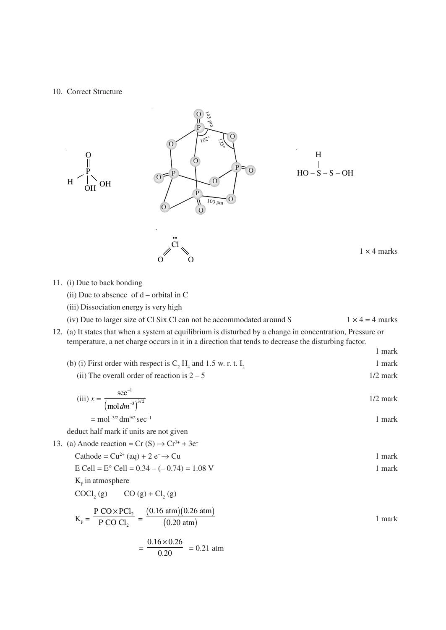#### 10. Correct Structure



- (ii) Due to absence of  $d$  orbital in C
- (iii) Dissociation energy is very high
- (iv) Due to larger size of Cl Six Cl can not be accommodated around S  $1 \times 4 = 4$  marks
- 12. (a) It states that when a system at equilibrium is disturbed by a change in concentration, Pressure or temperature, a net charge occurs in it in a direction that tends to decrease the disturbing factor.
	- (b) (i) First order with respect is  $C_2 H_4$  and 1.5 w. r. t.  $I_2$  1 mark

1 mark

(ii) The overall order of reaction is  $2 - 5$  1/2 mark

(iii) 
$$
x = \frac{\sec^{-1}}{(\text{mol dm}^{-3})^{3/2}}
$$
 1/2 mark

$$
= \text{mol}^{-3/2} \text{dm}^{9/2} \text{sec}^{-1}
$$
1 mark

deduct half mark if units are not given

13. (a) Anode reaction = Cr  $(S) \rightarrow Cr^{3+} + 3e^ Cathode = Cu^{2+}(ao) + 2 e^- \rightarrow Cu$ 

$$
E \text{ Cell} = E^{\circ} \text{ Cell} = 0.34 - (-0.74) = 1.08 \text{ V}
$$
1 mark

 $K_{\rm p}$  in atmosphere

$$
COCl2(g)
$$
 CO (g) + Cl<sub>2</sub>(g)

$$
K_{p} = \frac{P \text{ CO} \times \text{PC1}_{2}}{P \text{ CO Cl}_{2}} = \frac{(0.16 \text{ atm})(0.26 \text{ atm})}{(0.20 \text{ atm})}
$$
1 mark  
=  $\frac{0.16 \times 0.26}{0.20} = 0.21 \text{ atm}$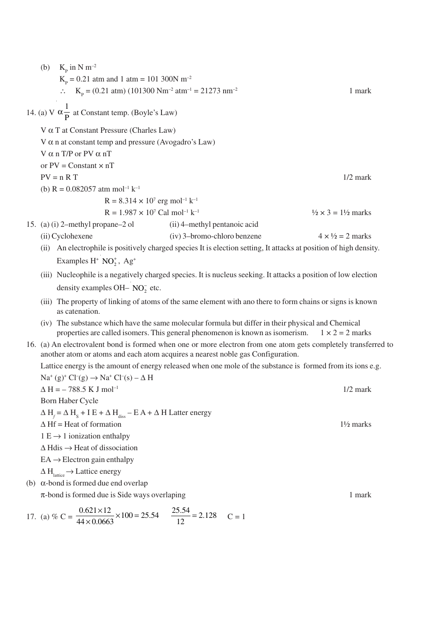(b)  $K_p$  in N m<sup>-2</sup>  $K_p = 0.21$  atm and 1 atm = 101 300N m<sup>-2</sup> ∴ K<sub>P</sub> = (0.21 atm) (101300 Nm<sup>-2</sup> atm<sup>-1</sup> = 21273 nm<sup>-2</sup> 1 mark 14. (a) V 1  $\alpha \frac{1}{P}$  at Constant temp. (Boyle's Law) V α T at Constant Pressure (Charles Law) V  $\alpha$  n at constant temp and pressure (Avogadro's Law) V  $\alpha$  n T/P or PV  $\alpha$  nT or  $PV = Constant \times nT$  $PV = n R T$  1/2 mark (b)  $R = 0.082057$  atm mol<sup>-1</sup> k<sup>-1</sup>  $R = 8.314 \times 10^7$  erg mol<sup>-1</sup> k<sup>-1</sup>  $R = 1.987 \times 10^7$  Cal mol<sup>-1</sup> k<sup>-1</sup>  $\frac{1}{2} \times 3 = 1\frac{1}{2}$  marks 15. (a) (i) 2–methyl propane–2 ol (ii) 4–methyl pentanoic acid (ii) Cyclohexene (iv) 3–bromo-chloro benzene  $4 \times \frac{1}{2} = 2$  marks (ii) An electrophile is positively charged species It is election setting, It attacks at position of high density. Examples  $H^+$  NO<sub>2</sub><sup>+</sup>, Ag<sup>+</sup> (iii) Nucleophile is a negatively charged species. It is nucleus seeking. It attacks a position of low election density examples OH–  $NO<sub>2</sub><sup>-</sup>$  etc. (iii) The property of linking of atoms of the same element with ano there to form chains or signs is known as catenation. (iv) The substance which have the same molecular formula but differ in their physical and Chemical properties are called isomers. This general phenomenon is known as isomerism.  $1 \times 2 = 2$  marks 16. (a) An electrovalent bond is formed when one or more electron from one atom gets completely transferred to another atom or atoms and each atom acquires a nearest noble gas Configuration. Lattice energy is the amount of energy released when one mole of the substance is formed from its ions e.g.  $\text{Na}^+(g)^+ \text{Cl}^-(g) \rightarrow \text{Na}^+ \text{Cl}^-(s) - \Delta \text{H}$  $\Delta H = -788.5 \text{ K J mol}^{-1}$  1/2 mark Born Haber Cycle  $\Delta H_f$  =  $\Delta H_s$  + I E +  $\Delta H_{diss}$  – E A +  $\Delta$  H Latter energy  $\Delta H f$  = Heat of formation 1<sup>1</sup>/<sub>2</sub> marks  $1 E \rightarrow 1$  ionization enthalpy  $\Delta$  Hdis  $\rightarrow$  Heat of dissociation  $EA \rightarrow$  Electron gain enthalpy  $\Delta H_{\text{lattice}} \rightarrow$  Lattice energy (b) α-bond is formed due end overlap  $\pi$ -bond is formed due is Side ways overlaping 1 mark 17. (a) % C =  $\frac{0.621 \times 12}{44 \times 0.00002} \times 100 = 25.54$  $44 \times 0.0663$  $\times 12$ <br> $\times 100 =$ ×  $\frac{25.54}{12}$  = 2.128 C = 1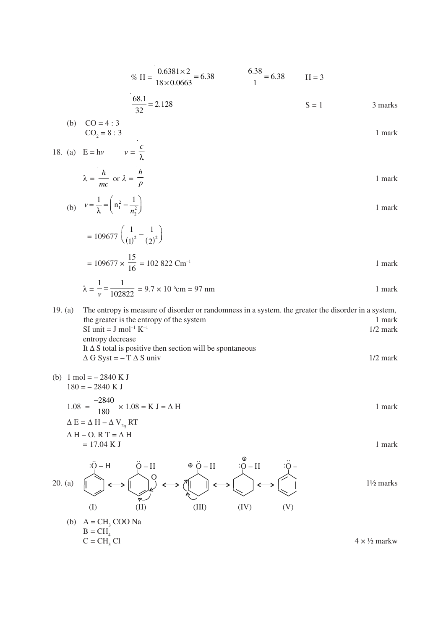% H = 
$$
\frac{0.6381 \times 2}{18 \times 0.0663}
$$
 = 6.38  $\frac{6.38}{1}$  = 6.38 H = 3

$$
\frac{68.1}{32} = 2.128
$$
 S = 1 3 marks

(b) CO = 4 : 3 CO2 = 8 : 3 1 mark *c*

18. (a) 
$$
E = hv
$$
  $v = \frac{v}{\lambda}$   
 $\lambda = \frac{h}{m}$  or  $\lambda = \frac{h}{n}$  1 mark

$$
\lambda = \frac{1}{mc} \text{ or } \lambda = \frac{1}{p}
$$
1 mark

(b) 
$$
v = \frac{1}{\lambda} = \left(n_1^2 - \frac{1}{n_2^2}\right)
$$
 1 mark

$$
= 109677 \left( \frac{1}{(1)^2} - \frac{1}{(2)^2} \right)
$$
  
= 109677 ×  $\frac{15}{16}$  = 102 822 Cm<sup>-1</sup>

$$
\lambda = \frac{1}{v} = \frac{1}{102822} = 9.7 \times 10^{-6} \text{cm} = 97 \text{ nm}
$$
1 mark

19. (a) The entropy is measure of disorder or randomness in a system. the greater the disorder in a system, the greater is the entropy of the system 1 mark  $SI \text{ unit} = J \text{ mol}^{-1} K^{-1}$  1/2 mark entropy decrease It  $\Delta S$  total is positive then section will be spontaneous  $\Delta G$  Syst = – T  $\Delta S$  univ 1/2 mark

(b) 
$$
1 \text{ mol} = -2840 \text{ K J}
$$
  
\n $180 = -2840 \text{ K J}$   
\n $1.08 = \frac{-2840}{180} \times 1.08 = \text{K J} = \Delta \text{ H}$   
\n $\Delta \text{ E} = \Delta \text{ H} - \Delta \text{ V}_{2q} \text{ RT}$   
\n $\Delta \text{ H} - \text{ O. R T} = \Delta \text{ H}$   
\n $= 17.04 \text{ K J}$   
\n $\therefore \ddot{\text{O}} - \text{H}$   
\n $\therefore \ddot{\text{O}} - \text{H}$   
\n $\therefore \ddot{\text{O}} - \text{H}$   
\n $\therefore \ddot{\text{O}} - \text{H}$   
\n $\therefore \ddot{\text{O}} - \text{H}$   
\n $\therefore \ddot{\text{O}} - \text{H}$   
\n $\therefore \ddot{\text{O}} - \text{H}$   
\n $\therefore \ddot{\text{O}} - \text{H}$   
\n $\therefore \ddot{\text{O}} - \text{H}$   
\n $\therefore \ddot{\text{O}} - \text{H}$   
\n $\therefore \ddot{\text{O}} - \text{H}$   
\n $\therefore \ddot{\text{O}} - \text{H}$   
\n $\therefore \ddot{\text{O}} - \text{H}$   
\n $\therefore \text{O} - \text{H}$   
\n $\text{1} \frac{\text{V}}{2} \text{ marks}$   
\n $\text{1} \frac{\text{V}}{2} \text{ marks}$ 

(b) 
$$
A = CH_3
$$
 COO Na  
\n $B = CH_4$   
\n $C = CH_3$  Cl  
\n $4 \times \frac{1}{2}$  markw